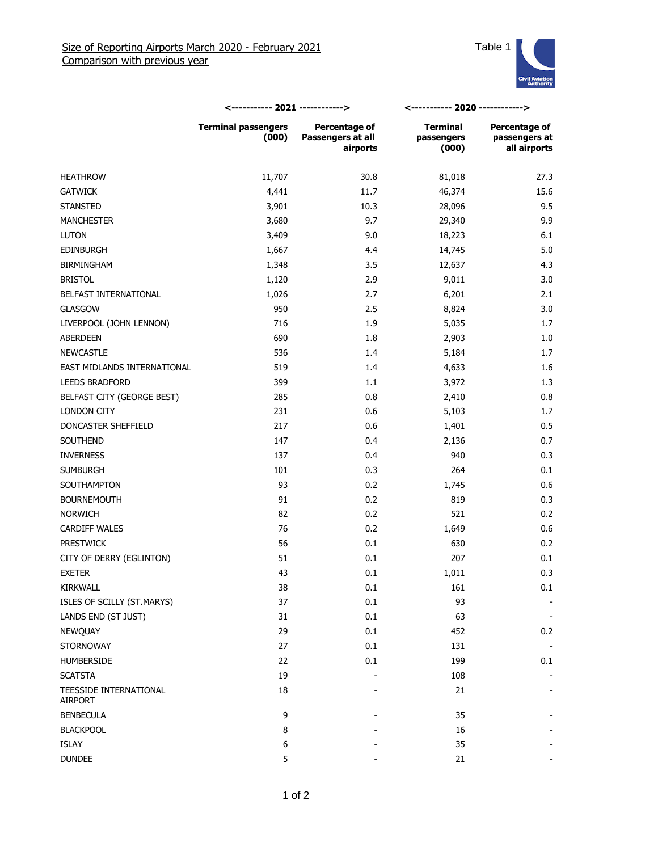

|                                          | <----------- 2021 ------------>     |                                                       | <----------- 2020 ------------>        |                                                       |
|------------------------------------------|-------------------------------------|-------------------------------------------------------|----------------------------------------|-------------------------------------------------------|
|                                          | <b>Terminal passengers</b><br>(000) | <b>Percentage of</b><br>Passengers at all<br>airports | <b>Terminal</b><br>passengers<br>(000) | <b>Percentage of</b><br>passengers at<br>all airports |
| <b>HEATHROW</b>                          | 11,707                              | 30.8                                                  | 81,018                                 | 27.3                                                  |
| <b>GATWICK</b>                           | 4,441                               | 11.7                                                  | 46,374                                 | 15.6                                                  |
| <b>STANSTED</b>                          | 3,901                               | 10.3                                                  | 28,096                                 | 9.5                                                   |
| <b>MANCHESTER</b>                        | 3,680                               | 9.7                                                   | 29,340                                 | 9.9                                                   |
| <b>LUTON</b>                             | 3,409                               | 9.0                                                   | 18,223                                 | 6.1                                                   |
| <b>EDINBURGH</b>                         | 1,667                               | 4.4                                                   | 14,745                                 | 5.0                                                   |
| <b>BIRMINGHAM</b>                        | 1,348                               | 3.5                                                   | 12,637                                 | 4.3                                                   |
| <b>BRISTOL</b>                           | 1,120                               | 2.9                                                   | 9,011                                  | 3.0                                                   |
| BELFAST INTERNATIONAL                    | 1,026                               | 2.7                                                   | 6,201                                  | 2.1                                                   |
| GLASGOW                                  | 950                                 | 2.5                                                   | 8,824                                  | 3.0                                                   |
| LIVERPOOL (JOHN LENNON)                  | 716                                 | 1.9                                                   | 5,035                                  | 1.7                                                   |
| ABERDEEN                                 | 690                                 | 1.8                                                   | 2,903                                  | 1.0                                                   |
| <b>NEWCASTLE</b>                         | 536                                 | 1.4                                                   | 5,184                                  | 1.7                                                   |
| EAST MIDLANDS INTERNATIONAL              | 519                                 | 1.4                                                   | 4,633                                  | 1.6                                                   |
| <b>LEEDS BRADFORD</b>                    | 399                                 | 1.1                                                   | 3,972                                  | 1.3                                                   |
| BELFAST CITY (GEORGE BEST)               | 285                                 | 0.8                                                   | 2,410                                  | 0.8                                                   |
| <b>LONDON CITY</b>                       | 231                                 | 0.6                                                   | 5,103                                  | 1.7                                                   |
| DONCASTER SHEFFIELD                      | 217                                 | 0.6                                                   | 1,401                                  | 0.5                                                   |
| SOUTHEND                                 | 147                                 | 0.4                                                   | 2,136                                  | 0.7                                                   |
| <b>INVERNESS</b>                         | 137                                 | 0.4                                                   | 940                                    | 0.3                                                   |
| <b>SUMBURGH</b>                          | 101                                 | 0.3                                                   | 264                                    | 0.1                                                   |
| SOUTHAMPTON                              | 93                                  | 0.2                                                   | 1,745                                  | 0.6                                                   |
| <b>BOURNEMOUTH</b>                       | 91                                  | 0.2                                                   | 819                                    | 0.3                                                   |
| <b>NORWICH</b>                           | 82                                  | 0.2                                                   | 521                                    | 0.2                                                   |
| <b>CARDIFF WALES</b>                     | 76                                  | 0.2                                                   | 1,649                                  | 0.6                                                   |
| <b>PRESTWICK</b>                         | 56                                  | 0.1                                                   | 630                                    | 0.2                                                   |
| CITY OF DERRY (EGLINTON)                 | 51                                  | 0.1                                                   | 207                                    | 0.1                                                   |
| <b>EXETER</b>                            | 43                                  | 0.1                                                   | 1,011                                  | 0.3                                                   |
| KIRKWALL                                 | 38                                  | $0.1\,$                                               | 161                                    | 0.1                                                   |
| ISLES OF SCILLY (ST.MARYS)               | 37                                  | 0.1                                                   | 93                                     |                                                       |
| LANDS END (ST JUST)                      | 31                                  | 0.1                                                   | 63                                     |                                                       |
| NEWQUAY                                  | 29                                  | 0.1                                                   | 452                                    | 0.2                                                   |
| <b>STORNOWAY</b>                         | 27                                  | 0.1                                                   | 131                                    |                                                       |
| <b>HUMBERSIDE</b>                        | 22                                  | 0.1                                                   | 199                                    | 0.1                                                   |
| <b>SCATSTA</b>                           | 19                                  |                                                       | 108                                    |                                                       |
| TEESSIDE INTERNATIONAL<br><b>AIRPORT</b> | 18                                  |                                                       | 21                                     |                                                       |
| <b>BENBECULA</b>                         | 9                                   |                                                       | 35                                     |                                                       |
| <b>BLACKPOOL</b>                         | 8                                   |                                                       | 16                                     |                                                       |
| ISLAY                                    | 6                                   |                                                       | 35                                     |                                                       |
| <b>DUNDEE</b>                            | 5                                   |                                                       | 21                                     |                                                       |